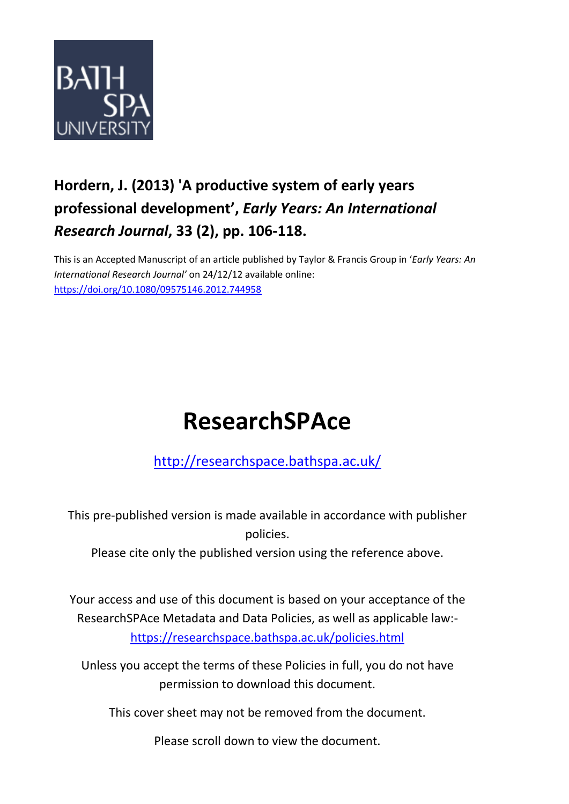

# **Hordern, J. (2013) 'A productive system of early years professional development' ,** *Early Years: An International Research Journal***, 33 (2), pp. 106-118.**

This is an Accepted Manuscript of an article published by Taylor & Francis Group in '*Early Years: An International Research Journal'* on 24/12/12 available online: <https://doi.org/10.1080/09575146.2012.744958>

# **ResearchSPAce**

<http://researchspace.bathspa.ac.uk/>

This pre-published version is made available in accordance with publisher policies. Please cite only the published version using the reference above.

Your access and use of this document is based on your acceptance of the ResearchSPAce Metadata and Data Policies, as well as applicable law: https://researchspace.bathspa.ac.uk/policies.html

Unless you accept the terms of these Policies in full, you do not have permission to download this document.

This cover sheet may not be removed from the document.

Please scroll down to view the document.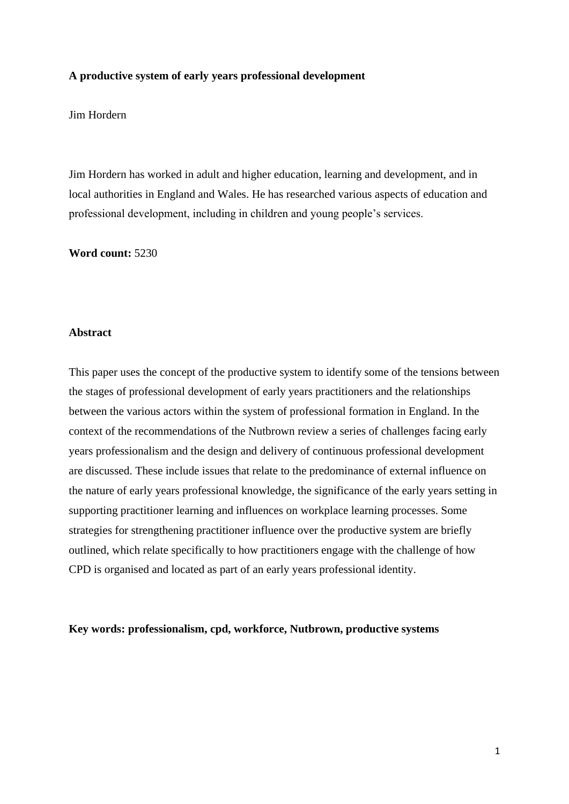#### **A productive system of early years professional development**

Jim Hordern

Jim Hordern has worked in adult and higher education, learning and development, and in local authorities in England and Wales. He has researched various aspects of education and professional development, including in children and young people's services.

**Word count:** 5230

#### **Abstract**

This paper uses the concept of the productive system to identify some of the tensions between the stages of professional development of early years practitioners and the relationships between the various actors within the system of professional formation in England. In the context of the recommendations of the Nutbrown review a series of challenges facing early years professionalism and the design and delivery of continuous professional development are discussed. These include issues that relate to the predominance of external influence on the nature of early years professional knowledge, the significance of the early years setting in supporting practitioner learning and influences on workplace learning processes. Some strategies for strengthening practitioner influence over the productive system are briefly outlined, which relate specifically to how practitioners engage with the challenge of how CPD is organised and located as part of an early years professional identity.

**Key words: professionalism, cpd, workforce, Nutbrown, productive systems**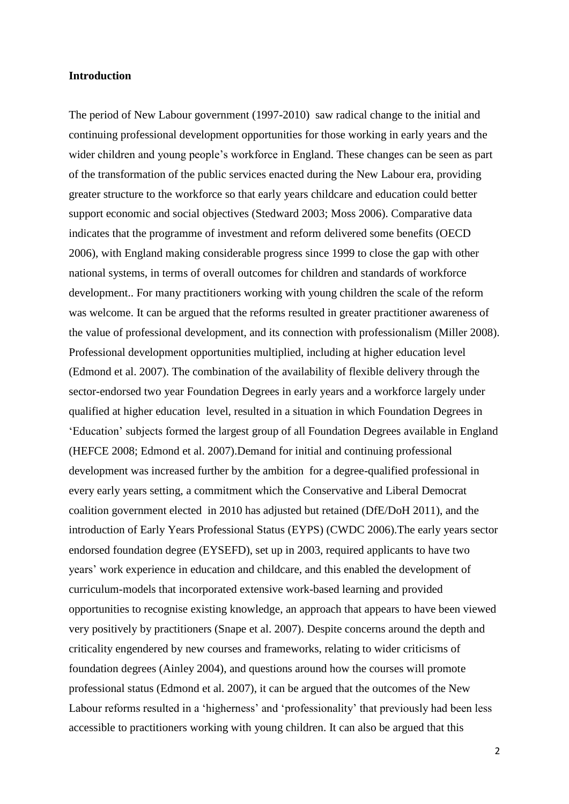### **Introduction**

The period of New Labour government (1997-2010) saw radical change to the initial and continuing professional development opportunities for those working in early years and the wider children and young people's workforce in England. These changes can be seen as part of the transformation of the public services enacted during the New Labour era, providing greater structure to the workforce so that early years childcare and education could better support economic and social objectives (Stedward 2003; Moss 2006). Comparative data indicates that the programme of investment and reform delivered some benefits (OECD 2006), with England making considerable progress since 1999 to close the gap with other national systems, in terms of overall outcomes for children and standards of workforce development.. For many practitioners working with young children the scale of the reform was welcome. It can be argued that the reforms resulted in greater practitioner awareness of the value of professional development, and its connection with professionalism (Miller 2008). Professional development opportunities multiplied, including at higher education level (Edmond et al. 2007). The combination of the availability of flexible delivery through the sector-endorsed two year Foundation Degrees in early years and a workforce largely under qualified at higher education level, resulted in a situation in which Foundation Degrees in 'Education' subjects formed the largest group of all Foundation Degrees available in England (HEFCE 2008; Edmond et al. 2007).Demand for initial and continuing professional development was increased further by the ambition for a degree-qualified professional in every early years setting, a commitment which the Conservative and Liberal Democrat coalition government elected in 2010 has adjusted but retained (DfE/DoH 2011), and the introduction of Early Years Professional Status (EYPS) (CWDC 2006).The early years sector endorsed foundation degree (EYSEFD), set up in 2003, required applicants to have two years' work experience in education and childcare, and this enabled the development of curriculum-models that incorporated extensive work-based learning and provided opportunities to recognise existing knowledge, an approach that appears to have been viewed very positively by practitioners (Snape et al. 2007). Despite concerns around the depth and criticality engendered by new courses and frameworks, relating to wider criticisms of foundation degrees (Ainley 2004), and questions around how the courses will promote professional status (Edmond et al. 2007), it can be argued that the outcomes of the New Labour reforms resulted in a 'higherness' and 'professionality' that previously had been less accessible to practitioners working with young children. It can also be argued that this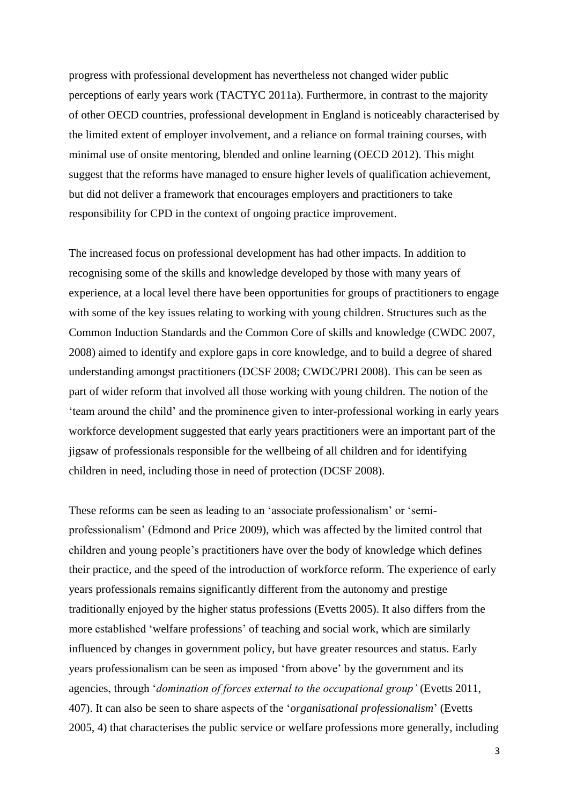progress with professional development has nevertheless not changed wider public perceptions of early years work (TACTYC 2011a). Furthermore, in contrast to the majority of other OECD countries, professional development in England is noticeably characterised by the limited extent of employer involvement, and a reliance on formal training courses, with minimal use of onsite mentoring, blended and online learning (OECD 2012). This might suggest that the reforms have managed to ensure higher levels of qualification achievement, but did not deliver a framework that encourages employers and practitioners to take responsibility for CPD in the context of ongoing practice improvement.

The increased focus on professional development has had other impacts. In addition to recognising some of the skills and knowledge developed by those with many years of experience, at a local level there have been opportunities for groups of practitioners to engage with some of the key issues relating to working with young children. Structures such as the Common Induction Standards and the Common Core of skills and knowledge (CWDC 2007, 2008) aimed to identify and explore gaps in core knowledge, and to build a degree of shared understanding amongst practitioners (DCSF 2008; CWDC/PRI 2008). This can be seen as part of wider reform that involved all those working with young children. The notion of the 'team around the child' and the prominence given to inter-professional working in early years workforce development suggested that early years practitioners were an important part of the jigsaw of professionals responsible for the wellbeing of all children and for identifying children in need, including those in need of protection (DCSF 2008).

These reforms can be seen as leading to an 'associate professionalism' or 'semiprofessionalism' (Edmond and Price 2009), which was affected by the limited control that children and young people's practitioners have over the body of knowledge which defines their practice, and the speed of the introduction of workforce reform. The experience of early years professionals remains significantly different from the autonomy and prestige traditionally enjoyed by the higher status professions (Evetts 2005). It also differs from the more established 'welfare professions' of teaching and social work, which are similarly influenced by changes in government policy, but have greater resources and status. Early years professionalism can be seen as imposed 'from above' by the government and its agencies, through '*domination of forces external to the occupational group'* (Evetts 2011, 407). It can also be seen to share aspects of the '*organisational professionalism*' (Evetts 2005, 4) that characterises the public service or welfare professions more generally, including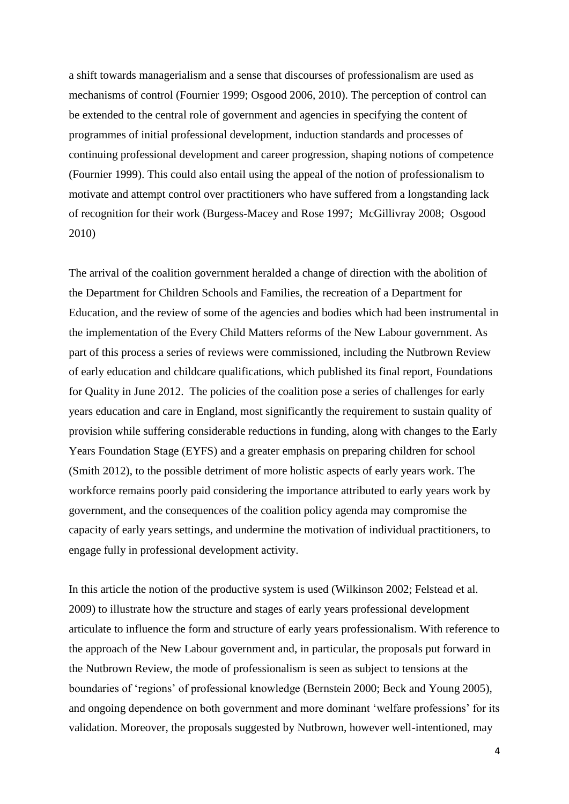a shift towards managerialism and a sense that discourses of professionalism are used as mechanisms of control (Fournier 1999; Osgood 2006, 2010). The perception of control can be extended to the central role of government and agencies in specifying the content of programmes of initial professional development, induction standards and processes of continuing professional development and career progression, shaping notions of competence (Fournier 1999). This could also entail using the appeal of the notion of professionalism to motivate and attempt control over practitioners who have suffered from a longstanding lack of recognition for their work (Burgess-Macey and Rose 1997; McGillivray 2008; Osgood 2010)

The arrival of the coalition government heralded a change of direction with the abolition of the Department for Children Schools and Families, the recreation of a Department for Education, and the review of some of the agencies and bodies which had been instrumental in the implementation of the Every Child Matters reforms of the New Labour government. As part of this process a series of reviews were commissioned, including the Nutbrown Review of early education and childcare qualifications, which published its final report, Foundations for Quality in June 2012. The policies of the coalition pose a series of challenges for early years education and care in England, most significantly the requirement to sustain quality of provision while suffering considerable reductions in funding, along with changes to the Early Years Foundation Stage (EYFS) and a greater emphasis on preparing children for school (Smith 2012), to the possible detriment of more holistic aspects of early years work. The workforce remains poorly paid considering the importance attributed to early years work by government, and the consequences of the coalition policy agenda may compromise the capacity of early years settings, and undermine the motivation of individual practitioners, to engage fully in professional development activity.

In this article the notion of the productive system is used (Wilkinson 2002; Felstead et al. 2009) to illustrate how the structure and stages of early years professional development articulate to influence the form and structure of early years professionalism. With reference to the approach of the New Labour government and, in particular, the proposals put forward in the Nutbrown Review, the mode of professionalism is seen as subject to tensions at the boundaries of 'regions' of professional knowledge (Bernstein 2000; Beck and Young 2005), and ongoing dependence on both government and more dominant 'welfare professions' for its validation. Moreover, the proposals suggested by Nutbrown, however well-intentioned, may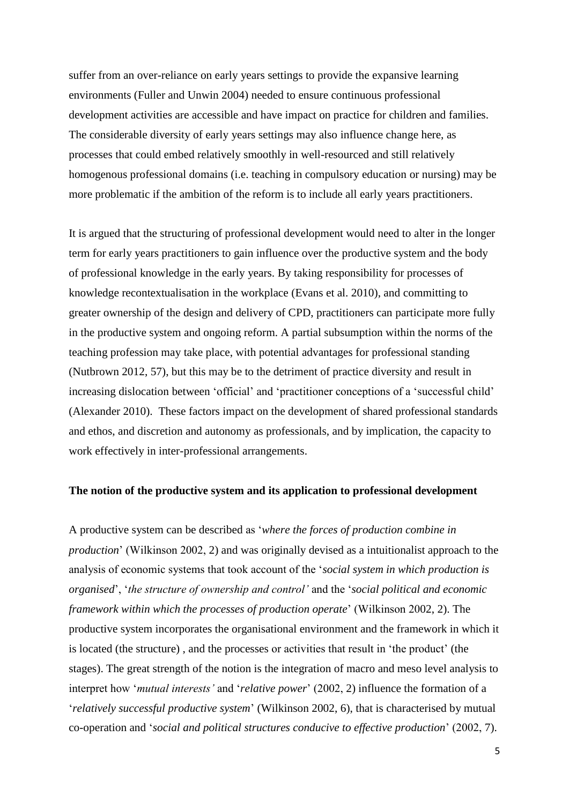suffer from an over-reliance on early years settings to provide the expansive learning environments (Fuller and Unwin 2004) needed to ensure continuous professional development activities are accessible and have impact on practice for children and families. The considerable diversity of early years settings may also influence change here, as processes that could embed relatively smoothly in well-resourced and still relatively homogenous professional domains (i.e. teaching in compulsory education or nursing) may be more problematic if the ambition of the reform is to include all early years practitioners.

It is argued that the structuring of professional development would need to alter in the longer term for early years practitioners to gain influence over the productive system and the body of professional knowledge in the early years. By taking responsibility for processes of knowledge recontextualisation in the workplace (Evans et al. 2010), and committing to greater ownership of the design and delivery of CPD, practitioners can participate more fully in the productive system and ongoing reform. A partial subsumption within the norms of the teaching profession may take place, with potential advantages for professional standing (Nutbrown 2012, 57), but this may be to the detriment of practice diversity and result in increasing dislocation between 'official' and 'practitioner conceptions of a 'successful child' (Alexander 2010). These factors impact on the development of shared professional standards and ethos, and discretion and autonomy as professionals, and by implication, the capacity to work effectively in inter-professional arrangements.

#### **The notion of the productive system and its application to professional development**

A productive system can be described as '*where the forces of production combine in production*' (Wilkinson 2002, 2) and was originally devised as a intuitionalist approach to the analysis of economic systems that took account of the '*social system in which production is organised*', '*the structure of ownership and control'* and the '*social political and economic framework within which the processes of production operate*' (Wilkinson 2002, 2). The productive system incorporates the organisational environment and the framework in which it is located (the structure) , and the processes or activities that result in 'the product' (the stages). The great strength of the notion is the integration of macro and meso level analysis to interpret how '*mutual interests'* and '*relative power*' (2002, 2) influence the formation of a '*relatively successful productive system*' (Wilkinson 2002, 6), that is characterised by mutual co-operation and '*social and political structures conducive to effective production*' (2002, 7).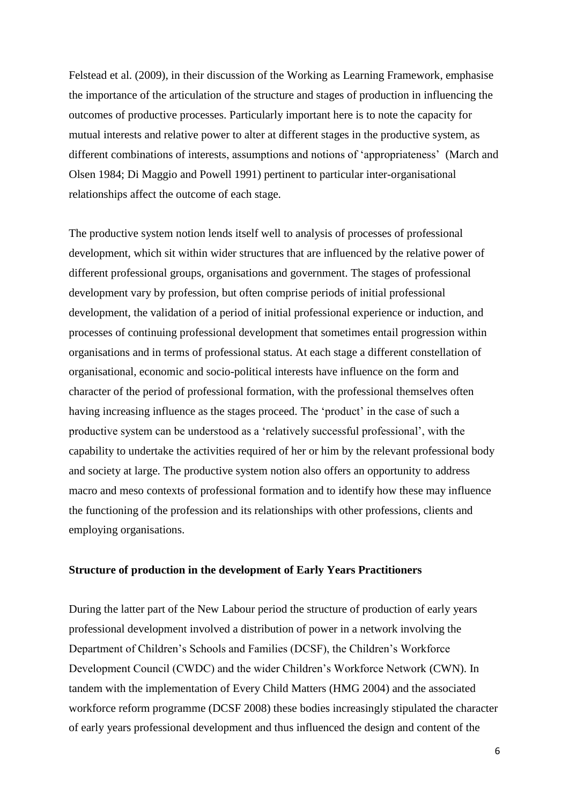Felstead et al. (2009), in their discussion of the Working as Learning Framework, emphasise the importance of the articulation of the structure and stages of production in influencing the outcomes of productive processes. Particularly important here is to note the capacity for mutual interests and relative power to alter at different stages in the productive system, as different combinations of interests, assumptions and notions of 'appropriateness' (March and Olsen 1984; Di Maggio and Powell 1991) pertinent to particular inter-organisational relationships affect the outcome of each stage.

The productive system notion lends itself well to analysis of processes of professional development, which sit within wider structures that are influenced by the relative power of different professional groups, organisations and government. The stages of professional development vary by profession, but often comprise periods of initial professional development, the validation of a period of initial professional experience or induction, and processes of continuing professional development that sometimes entail progression within organisations and in terms of professional status. At each stage a different constellation of organisational, economic and socio-political interests have influence on the form and character of the period of professional formation, with the professional themselves often having increasing influence as the stages proceed. The 'product' in the case of such a productive system can be understood as a 'relatively successful professional', with the capability to undertake the activities required of her or him by the relevant professional body and society at large. The productive system notion also offers an opportunity to address macro and meso contexts of professional formation and to identify how these may influence the functioning of the profession and its relationships with other professions, clients and employing organisations.

## **Structure of production in the development of Early Years Practitioners**

During the latter part of the New Labour period the structure of production of early years professional development involved a distribution of power in a network involving the Department of Children's Schools and Families (DCSF), the Children's Workforce Development Council (CWDC) and the wider Children's Workforce Network (CWN). In tandem with the implementation of Every Child Matters (HMG 2004) and the associated workforce reform programme (DCSF 2008) these bodies increasingly stipulated the character of early years professional development and thus influenced the design and content of the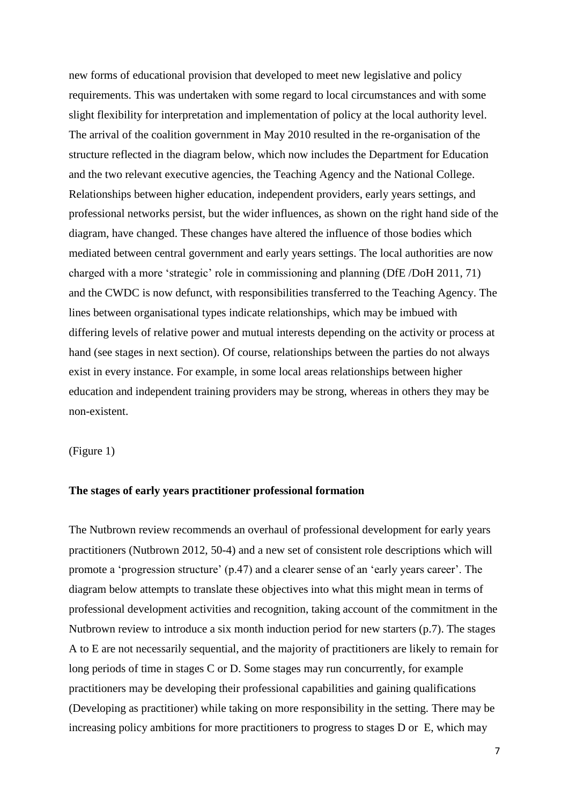new forms of educational provision that developed to meet new legislative and policy requirements. This was undertaken with some regard to local circumstances and with some slight flexibility for interpretation and implementation of policy at the local authority level. The arrival of the coalition government in May 2010 resulted in the re-organisation of the structure reflected in the diagram below, which now includes the Department for Education and the two relevant executive agencies, the Teaching Agency and the National College. Relationships between higher education, independent providers, early years settings, and professional networks persist, but the wider influences, as shown on the right hand side of the diagram, have changed. These changes have altered the influence of those bodies which mediated between central government and early years settings. The local authorities are now charged with a more 'strategic' role in commissioning and planning (DfE /DoH 2011, 71) and the CWDC is now defunct, with responsibilities transferred to the Teaching Agency. The lines between organisational types indicate relationships, which may be imbued with differing levels of relative power and mutual interests depending on the activity or process at hand (see stages in next section). Of course, relationships between the parties do not always exist in every instance. For example, in some local areas relationships between higher education and independent training providers may be strong, whereas in others they may be non-existent.

(Figure 1)

#### **The stages of early years practitioner professional formation**

The Nutbrown review recommends an overhaul of professional development for early years practitioners (Nutbrown 2012, 50-4) and a new set of consistent role descriptions which will promote a 'progression structure' (p.47) and a clearer sense of an 'early years career'. The diagram below attempts to translate these objectives into what this might mean in terms of professional development activities and recognition, taking account of the commitment in the Nutbrown review to introduce a six month induction period for new starters (p.7). The stages A to E are not necessarily sequential, and the majority of practitioners are likely to remain for long periods of time in stages C or D. Some stages may run concurrently, for example practitioners may be developing their professional capabilities and gaining qualifications (Developing as practitioner) while taking on more responsibility in the setting. There may be increasing policy ambitions for more practitioners to progress to stages D or E, which may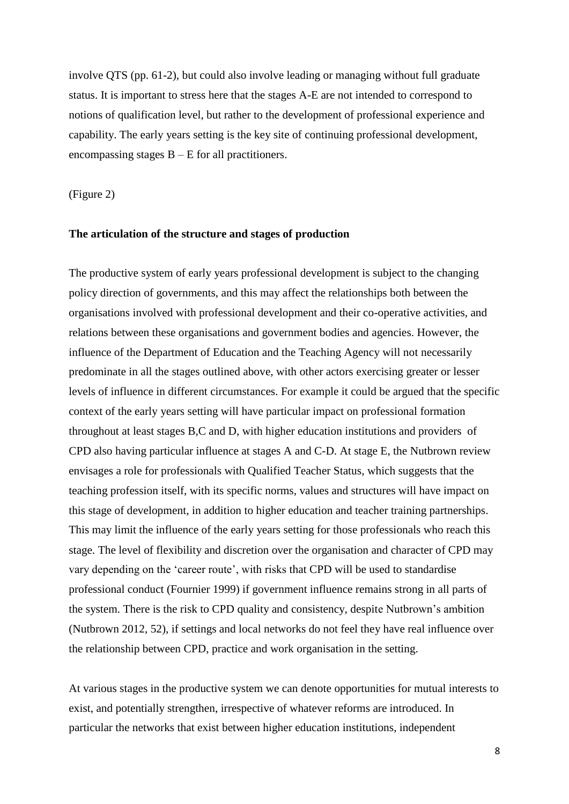involve QTS (pp. 61-2), but could also involve leading or managing without full graduate status. It is important to stress here that the stages A-E are not intended to correspond to notions of qualification level, but rather to the development of professional experience and capability. The early years setting is the key site of continuing professional development, encompassing stages  $B - E$  for all practitioners.

(Figure 2)

#### **The articulation of the structure and stages of production**

The productive system of early years professional development is subject to the changing policy direction of governments, and this may affect the relationships both between the organisations involved with professional development and their co-operative activities, and relations between these organisations and government bodies and agencies. However, the influence of the Department of Education and the Teaching Agency will not necessarily predominate in all the stages outlined above, with other actors exercising greater or lesser levels of influence in different circumstances. For example it could be argued that the specific context of the early years setting will have particular impact on professional formation throughout at least stages B,C and D, with higher education institutions and providers of CPD also having particular influence at stages A and C-D. At stage E, the Nutbrown review envisages a role for professionals with Qualified Teacher Status, which suggests that the teaching profession itself, with its specific norms, values and structures will have impact on this stage of development, in addition to higher education and teacher training partnerships. This may limit the influence of the early years setting for those professionals who reach this stage. The level of flexibility and discretion over the organisation and character of CPD may vary depending on the 'career route', with risks that CPD will be used to standardise professional conduct (Fournier 1999) if government influence remains strong in all parts of the system. There is the risk to CPD quality and consistency, despite Nutbrown's ambition (Nutbrown 2012, 52), if settings and local networks do not feel they have real influence over the relationship between CPD, practice and work organisation in the setting.

At various stages in the productive system we can denote opportunities for mutual interests to exist, and potentially strengthen, irrespective of whatever reforms are introduced. In particular the networks that exist between higher education institutions, independent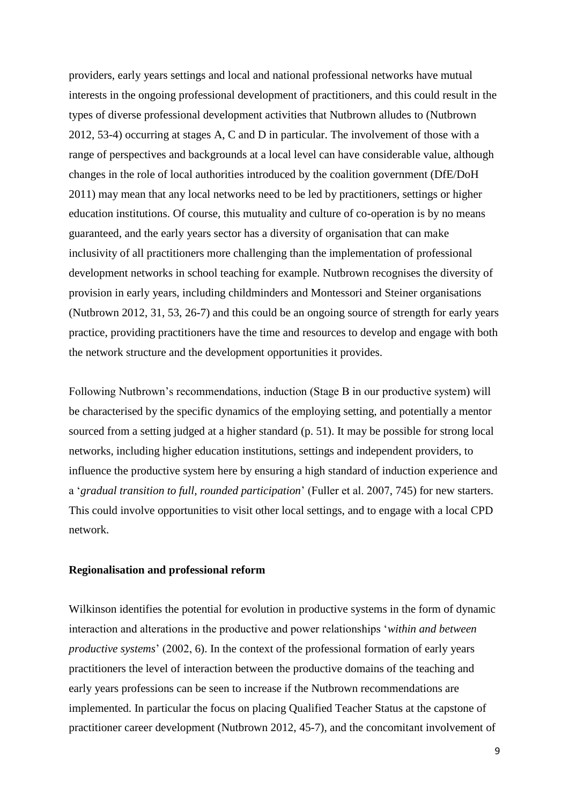providers, early years settings and local and national professional networks have mutual interests in the ongoing professional development of practitioners, and this could result in the types of diverse professional development activities that Nutbrown alludes to (Nutbrown 2012, 53-4) occurring at stages A, C and D in particular. The involvement of those with a range of perspectives and backgrounds at a local level can have considerable value, although changes in the role of local authorities introduced by the coalition government (DfE/DoH 2011) may mean that any local networks need to be led by practitioners, settings or higher education institutions. Of course, this mutuality and culture of co-operation is by no means guaranteed, and the early years sector has a diversity of organisation that can make inclusivity of all practitioners more challenging than the implementation of professional development networks in school teaching for example. Nutbrown recognises the diversity of provision in early years, including childminders and Montessori and Steiner organisations (Nutbrown 2012, 31, 53, 26-7) and this could be an ongoing source of strength for early years practice, providing practitioners have the time and resources to develop and engage with both the network structure and the development opportunities it provides.

Following Nutbrown's recommendations, induction (Stage B in our productive system) will be characterised by the specific dynamics of the employing setting, and potentially a mentor sourced from a setting judged at a higher standard (p. 51). It may be possible for strong local networks, including higher education institutions, settings and independent providers, to influence the productive system here by ensuring a high standard of induction experience and a '*gradual transition to full, rounded participation*' (Fuller et al. 2007, 745) for new starters. This could involve opportunities to visit other local settings, and to engage with a local CPD network.

#### **Regionalisation and professional reform**

Wilkinson identifies the potential for evolution in productive systems in the form of dynamic interaction and alterations in the productive and power relationships '*within and between productive systems*' (2002, 6). In the context of the professional formation of early years practitioners the level of interaction between the productive domains of the teaching and early years professions can be seen to increase if the Nutbrown recommendations are implemented. In particular the focus on placing Qualified Teacher Status at the capstone of practitioner career development (Nutbrown 2012, 45-7), and the concomitant involvement of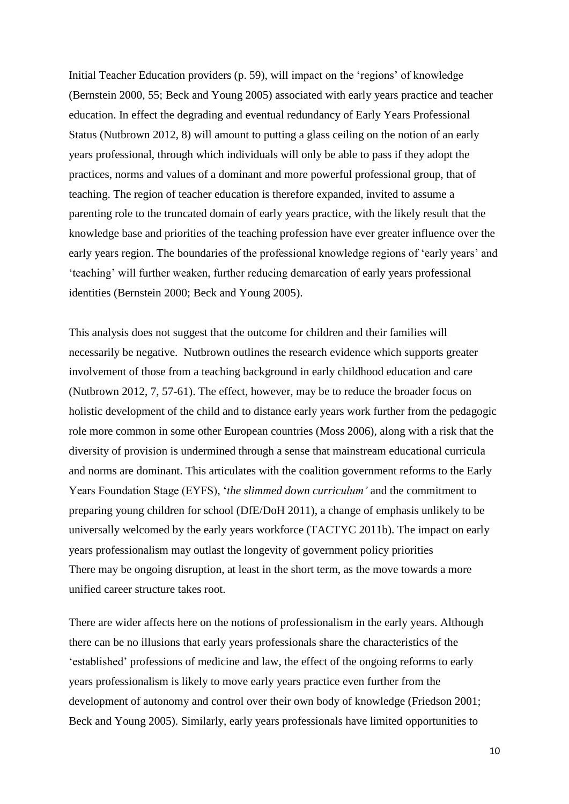Initial Teacher Education providers (p. 59), will impact on the 'regions' of knowledge (Bernstein 2000, 55; Beck and Young 2005) associated with early years practice and teacher education. In effect the degrading and eventual redundancy of Early Years Professional Status (Nutbrown 2012, 8) will amount to putting a glass ceiling on the notion of an early years professional, through which individuals will only be able to pass if they adopt the practices, norms and values of a dominant and more powerful professional group, that of teaching. The region of teacher education is therefore expanded, invited to assume a parenting role to the truncated domain of early years practice, with the likely result that the knowledge base and priorities of the teaching profession have ever greater influence over the early years region. The boundaries of the professional knowledge regions of 'early years' and 'teaching' will further weaken, further reducing demarcation of early years professional identities (Bernstein 2000; Beck and Young 2005).

This analysis does not suggest that the outcome for children and their families will necessarily be negative. Nutbrown outlines the research evidence which supports greater involvement of those from a teaching background in early childhood education and care (Nutbrown 2012, 7, 57-61). The effect, however, may be to reduce the broader focus on holistic development of the child and to distance early years work further from the pedagogic role more common in some other European countries (Moss 2006), along with a risk that the diversity of provision is undermined through a sense that mainstream educational curricula and norms are dominant. This articulates with the coalition government reforms to the Early Years Foundation Stage (EYFS), '*the slimmed down curriculum'* and the commitment to preparing young children for school (DfE/DoH 2011), a change of emphasis unlikely to be universally welcomed by the early years workforce (TACTYC 2011b). The impact on early years professionalism may outlast the longevity of government policy priorities There may be ongoing disruption, at least in the short term, as the move towards a more unified career structure takes root.

There are wider affects here on the notions of professionalism in the early years. Although there can be no illusions that early years professionals share the characteristics of the 'established' professions of medicine and law, the effect of the ongoing reforms to early years professionalism is likely to move early years practice even further from the development of autonomy and control over their own body of knowledge (Friedson 2001; Beck and Young 2005). Similarly, early years professionals have limited opportunities to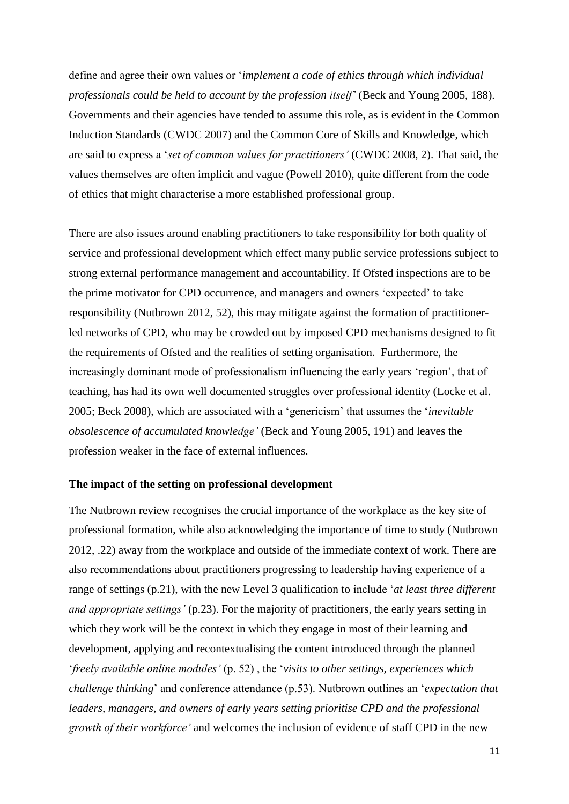define and agree their own values or '*implement a code of ethics through which individual professionals could be held to account by the profession itself'* (Beck and Young 2005, 188). Governments and their agencies have tended to assume this role, as is evident in the Common Induction Standards (CWDC 2007) and the Common Core of Skills and Knowledge, which are said to express a '*set of common values for practitioners'* (CWDC 2008, 2). That said, the values themselves are often implicit and vague (Powell 2010), quite different from the code of ethics that might characterise a more established professional group.

There are also issues around enabling practitioners to take responsibility for both quality of service and professional development which effect many public service professions subject to strong external performance management and accountability. If Ofsted inspections are to be the prime motivator for CPD occurrence, and managers and owners 'expected' to take responsibility (Nutbrown 2012, 52), this may mitigate against the formation of practitionerled networks of CPD, who may be crowded out by imposed CPD mechanisms designed to fit the requirements of Ofsted and the realities of setting organisation. Furthermore, the increasingly dominant mode of professionalism influencing the early years 'region', that of teaching, has had its own well documented struggles over professional identity (Locke et al. 2005; Beck 2008), which are associated with a 'genericism' that assumes the '*inevitable obsolescence of accumulated knowledge'* (Beck and Young 2005, 191) and leaves the profession weaker in the face of external influences.

#### **The impact of the setting on professional development**

The Nutbrown review recognises the crucial importance of the workplace as the key site of professional formation, while also acknowledging the importance of time to study (Nutbrown 2012, .22) away from the workplace and outside of the immediate context of work. There are also recommendations about practitioners progressing to leadership having experience of a range of settings (p.21), with the new Level 3 qualification to include '*at least three different and appropriate settings'* (p.23). For the majority of practitioners, the early years setting in which they work will be the context in which they engage in most of their learning and development, applying and recontextualising the content introduced through the planned '*freely available online modules'* (p. 52) , the '*visits to other settings, experiences which challenge thinking*' and conference attendance (p.53). Nutbrown outlines an '*expectation that leaders, managers, and owners of early years setting prioritise CPD and the professional growth of their workforce'* and welcomes the inclusion of evidence of staff CPD in the new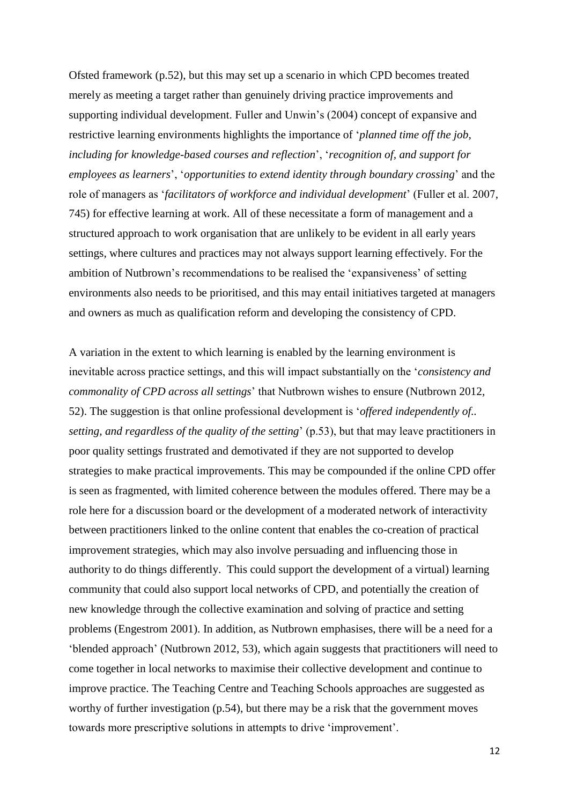Ofsted framework (p.52), but this may set up a scenario in which CPD becomes treated merely as meeting a target rather than genuinely driving practice improvements and supporting individual development. Fuller and Unwin's (2004) concept of expansive and restrictive learning environments highlights the importance of '*planned time off the job, including for knowledge-based courses and reflection*', '*recognition of, and support for employees as learners*', '*opportunities to extend identity through boundary crossing*' and the role of managers as '*facilitators of workforce and individual development*' (Fuller et al. 2007, 745) for effective learning at work. All of these necessitate a form of management and a structured approach to work organisation that are unlikely to be evident in all early years settings, where cultures and practices may not always support learning effectively. For the ambition of Nutbrown's recommendations to be realised the 'expansiveness' of setting environments also needs to be prioritised, and this may entail initiatives targeted at managers and owners as much as qualification reform and developing the consistency of CPD.

A variation in the extent to which learning is enabled by the learning environment is inevitable across practice settings, and this will impact substantially on the '*consistency and commonality of CPD across all settings*' that Nutbrown wishes to ensure (Nutbrown 2012, 52). The suggestion is that online professional development is '*offered independently of.. setting, and regardless of the quality of the setting*' (p.53), but that may leave practitioners in poor quality settings frustrated and demotivated if they are not supported to develop strategies to make practical improvements. This may be compounded if the online CPD offer is seen as fragmented, with limited coherence between the modules offered. There may be a role here for a discussion board or the development of a moderated network of interactivity between practitioners linked to the online content that enables the co-creation of practical improvement strategies, which may also involve persuading and influencing those in authority to do things differently. This could support the development of a virtual) learning community that could also support local networks of CPD, and potentially the creation of new knowledge through the collective examination and solving of practice and setting problems (Engestrom 2001). In addition, as Nutbrown emphasises, there will be a need for a 'blended approach' (Nutbrown 2012, 53), which again suggests that practitioners will need to come together in local networks to maximise their collective development and continue to improve practice. The Teaching Centre and Teaching Schools approaches are suggested as worthy of further investigation (p.54), but there may be a risk that the government moves towards more prescriptive solutions in attempts to drive 'improvement'.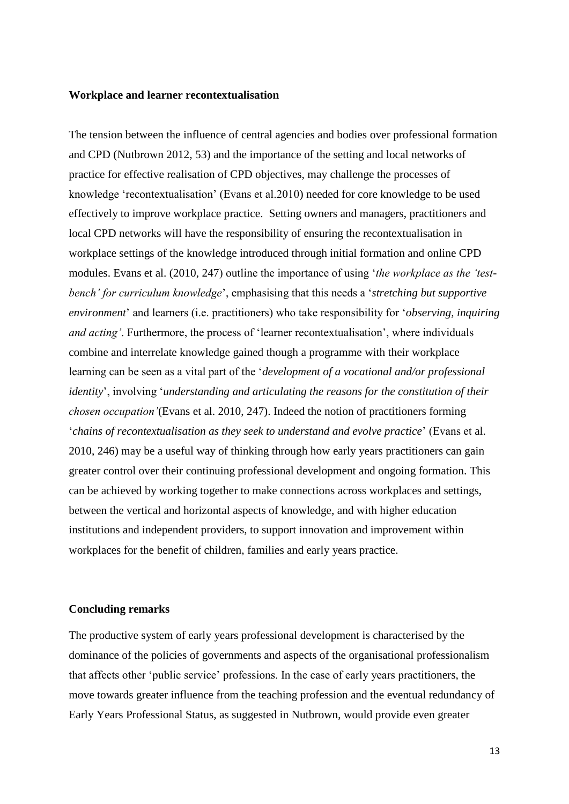#### **Workplace and learner recontextualisation**

The tension between the influence of central agencies and bodies over professional formation and CPD (Nutbrown 2012, 53) and the importance of the setting and local networks of practice for effective realisation of CPD objectives, may challenge the processes of knowledge 'recontextualisation' (Evans et al.2010) needed for core knowledge to be used effectively to improve workplace practice. Setting owners and managers, practitioners and local CPD networks will have the responsibility of ensuring the recontextualisation in workplace settings of the knowledge introduced through initial formation and online CPD modules. Evans et al. (2010, 247) outline the importance of using '*the workplace as the 'testbench' for curriculum knowledge*', emphasising that this needs a '*stretching but supportive environment*' and learners (i.e. practitioners) who take responsibility for '*observing, inquiring and acting'*. Furthermore, the process of 'learner recontextualisation', where individuals combine and interrelate knowledge gained though a programme with their workplace learning can be seen as a vital part of the '*development of a vocational and/or professional identity*', involving '*understanding and articulating the reasons for the constitution of their chosen occupation'*(Evans et al. 2010, 247). Indeed the notion of practitioners forming '*chains of recontextualisation as they seek to understand and evolve practice*' (Evans et al. 2010, 246) may be a useful way of thinking through how early years practitioners can gain greater control over their continuing professional development and ongoing formation. This can be achieved by working together to make connections across workplaces and settings, between the vertical and horizontal aspects of knowledge, and with higher education institutions and independent providers, to support innovation and improvement within workplaces for the benefit of children, families and early years practice.

#### **Concluding remarks**

The productive system of early years professional development is characterised by the dominance of the policies of governments and aspects of the organisational professionalism that affects other 'public service' professions. In the case of early years practitioners, the move towards greater influence from the teaching profession and the eventual redundancy of Early Years Professional Status, as suggested in Nutbrown, would provide even greater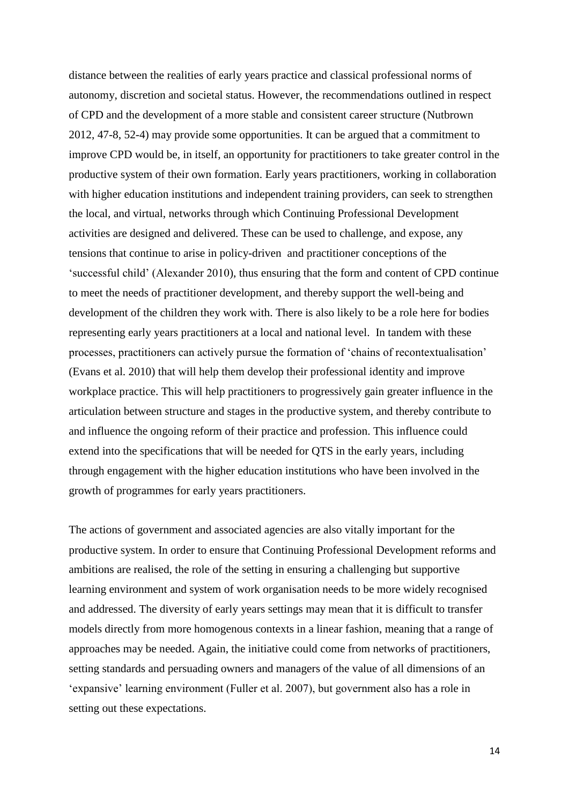distance between the realities of early years practice and classical professional norms of autonomy, discretion and societal status. However, the recommendations outlined in respect of CPD and the development of a more stable and consistent career structure (Nutbrown 2012, 47-8, 52-4) may provide some opportunities. It can be argued that a commitment to improve CPD would be, in itself, an opportunity for practitioners to take greater control in the productive system of their own formation. Early years practitioners, working in collaboration with higher education institutions and independent training providers, can seek to strengthen the local, and virtual, networks through which Continuing Professional Development activities are designed and delivered. These can be used to challenge, and expose, any tensions that continue to arise in policy-driven and practitioner conceptions of the 'successful child' (Alexander 2010), thus ensuring that the form and content of CPD continue to meet the needs of practitioner development, and thereby support the well-being and development of the children they work with. There is also likely to be a role here for bodies representing early years practitioners at a local and national level. In tandem with these processes, practitioners can actively pursue the formation of 'chains of recontextualisation' (Evans et al. 2010) that will help them develop their professional identity and improve workplace practice. This will help practitioners to progressively gain greater influence in the articulation between structure and stages in the productive system, and thereby contribute to and influence the ongoing reform of their practice and profession. This influence could extend into the specifications that will be needed for QTS in the early years, including through engagement with the higher education institutions who have been involved in the growth of programmes for early years practitioners.

The actions of government and associated agencies are also vitally important for the productive system. In order to ensure that Continuing Professional Development reforms and ambitions are realised, the role of the setting in ensuring a challenging but supportive learning environment and system of work organisation needs to be more widely recognised and addressed. The diversity of early years settings may mean that it is difficult to transfer models directly from more homogenous contexts in a linear fashion, meaning that a range of approaches may be needed. Again, the initiative could come from networks of practitioners, setting standards and persuading owners and managers of the value of all dimensions of an 'expansive' learning environment (Fuller et al. 2007), but government also has a role in setting out these expectations.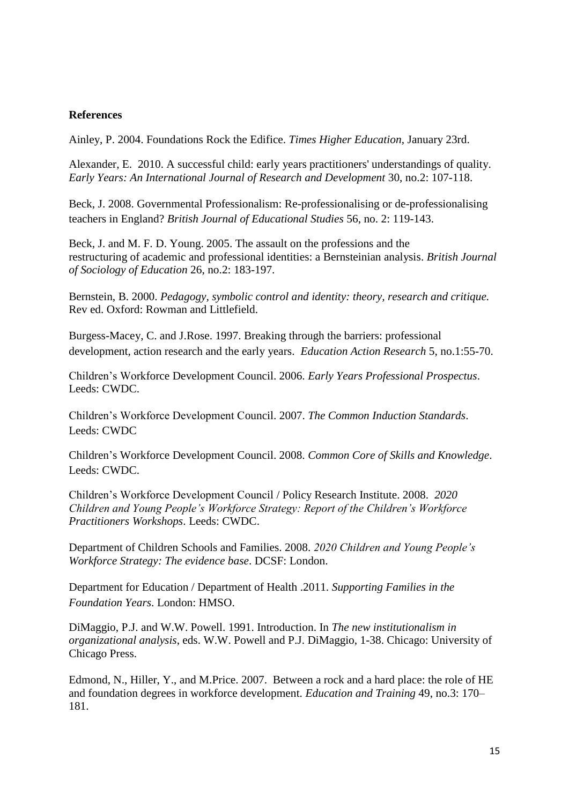# **References**

Ainley, P. 2004. Foundations Rock the Edifice. *Times Higher Education*, January 23rd.

Alexander, E. 2010. A successful child: early years practitioners' understandings of quality. *Early Years: An International Journal of Research and Development* 30, no.2: 107-118.

Beck, J. 2008. Governmental Professionalism: Re-professionalising or de-professionalising teachers in England? *British Journal of Educational Studies* 56, no. 2: 119-143.

Beck, J. and M. F. D. Young. 2005. The assault on the professions and the restructuring of academic and professional identities: a Bernsteinian analysis. *British Journal of Sociology of Education* 26, no.2: 183-197.

Bernstein, B. 2000. *Pedagogy, symbolic control and identity: theory, research and critique.*  Rev ed. Oxford: Rowman and Littlefield.

Burgess-Macey, C. and J.Rose. 1997. Breaking through the barriers: professional development, action research and the early years. *Education Action Research* 5, no.1:55-70.

Children's Workforce Development Council. 2006. *Early Years Professional Prospectus*. Leeds: CWDC.

Children's Workforce Development Council. 2007. *The Common Induction Standards*. Leeds: CWDC

Children's Workforce Development Council. 2008. *Common Core of Skills and Knowledge*. Leeds: CWDC

Children's Workforce Development Council / Policy Research Institute. 2008. *2020 Children and Young People's Workforce Strategy: Report of the Children's Workforce Practitioners Workshops*. Leeds: CWDC.

Department of Children Schools and Families. 2008. *2020 Children and Young People's Workforce Strategy: The evidence base*. DCSF: London.

Department for Education / Department of Health .2011. *Supporting Families in the Foundation Years*. London: HMSO.

DiMaggio, P.J. and W.W. Powell. 1991. Introduction. In *The new institutionalism in organizational analysis*, eds. W.W. Powell and P.J. DiMaggio, 1-38. Chicago: University of Chicago Press.

Edmond, N., Hiller, Y., and M.Price. 2007. Between a rock and a hard place: the role of HE and foundation degrees in workforce development. *Education and Training* 49, no.3: 170– 181.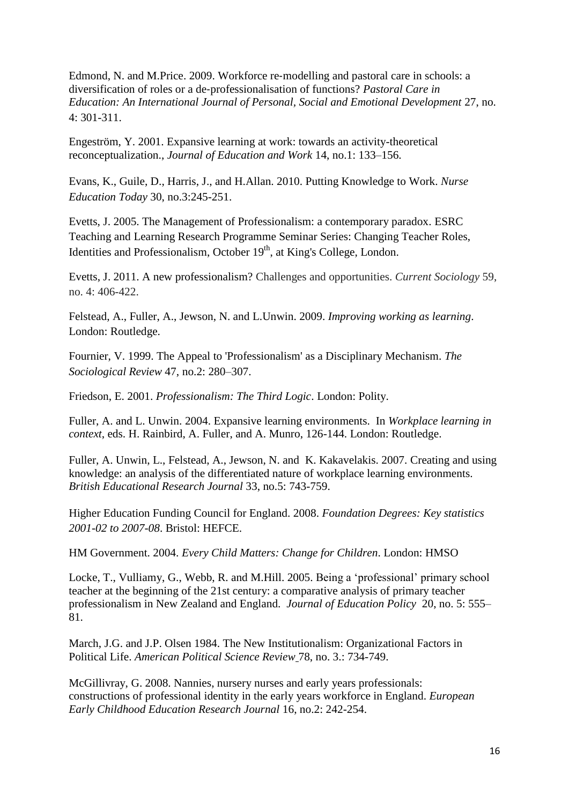Edmond, N. and M.Price. 2009. Workforce re-modelling and pastoral care in schools: a diversification of roles or a de‐professionalisation of functions? *Pastoral Care in Education: An International Journal of Personal, Social and Emotional Development* 27, no. 4: 301-311.

Engeström, Y. 2001. Expansive learning at work: towards an activity-theoretical reconceptualization., *Journal of Education and Work* 14, no.1: 133–156.

Evans, K., Guile, D., Harris, J., and H.Allan. 2010. Putting Knowledge to Work. *Nurse Education Today* 30, no.3:245-251.

Evetts, J. 2005. The Management of Professionalism: a contemporary paradox. ESRC Teaching and Learning Research Programme Seminar Series: Changing Teacher Roles, Identities and Professionalism, October 19<sup>th</sup>, at King's College, London.

Evetts, J. 2011. A new professionalism? Challenges and opportunities. *Current Sociology* 59, no. 4: 406-422.

Felstead, A., Fuller, A., Jewson, N. and L.Unwin. 2009. *Improving working as learning*. London: Routledge.

Fournier, V. 1999. The Appeal to 'Professionalism' as a Disciplinary Mechanism. *The Sociological Review* 47, no.2: 280–307.

Friedson, E. 2001. *Professionalism: The Third Logic*. London: Polity.

Fuller, A. and L. Unwin. 2004. Expansive learning environments. In *Workplace learning in context*, eds. H. Rainbird, A. Fuller, and A. Munro, 126-144. London: Routledge.

Fuller, A. Unwin, L., Felstead, A., Jewson, N. and K. Kakavelakis. 2007. Creating and using knowledge: an analysis of the differentiated nature of workplace learning environments. *British Educational Research Journal* 33, no.5: 743-759.

Higher Education Funding Council for England. 2008. *Foundation Degrees: Key statistics 2001-02 to 2007-08*. Bristol: HEFCE.

HM Government. 2004. *Every Child Matters: Change for Children*. London: HMSO

Locke, T., Vulliamy, G., Webb, R. and M.Hill. 2005. Being a 'professional' primary school teacher at the beginning of the 21st century: a comparative analysis of primary teacher professionalism in New Zealand and England. *Journal of Education Policy* 20, no. 5: 555– 81.

March, J.G. and J.P. Olsen 1984. The New Institutionalism: Organizational Factors in Political Life. *American Political Science Review* 78, no. 3.: 734-749.

McGillivray, G. 2008. Nannies, nursery nurses and early years professionals: constructions of professional identity in the early years workforce in England. *European Early Childhood Education Research Journal* 16, no.2: 242-254.